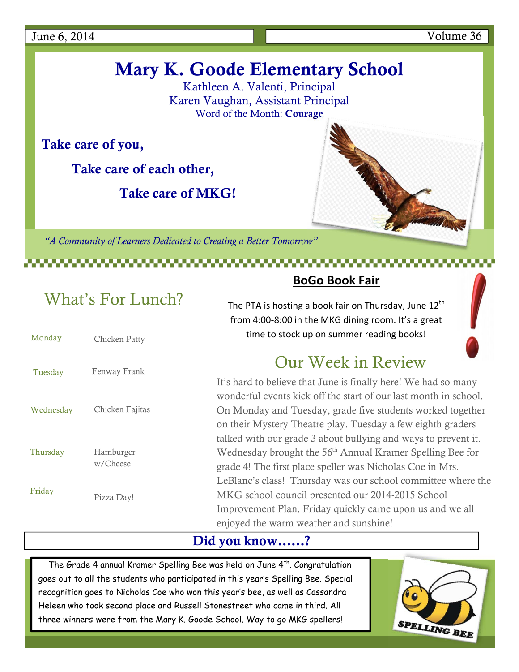# Mary K. Goode Elementary School

Kathleen A. Valenti, Principal Karen Vaughan, Assistant Principal Word of the Month: Courage

Take care of you,

Take care of each other,

Take care of MKG!

*"A Community of Learners Dedicated to Creating a Better Tomorrow"* 

# What's For Lunch?

| Monday    | Chicken Patty         |  |  |
|-----------|-----------------------|--|--|
| Tuesday   | Fenway Frank          |  |  |
| Wednesday | Chicken Fajitas       |  |  |
| Thursday  | Hamburger<br>w/Cheese |  |  |
| Friday    | Pizza Day!            |  |  |

### **BoGo Book Fair**

The PTA is hosting a book fair on Thursday, June  $12<sup>th</sup>$ from 4:00‐8:00 in the MKG dining room. It's a great time to stock up on summer reading books!

### Our Week in Review

It's hard to believe that June is finally here! We had so many wonderful events kick off the start of our last month in school. On Monday and Tuesday, grade five students worked together on their Mystery Theatre play. Tuesday a few eighth graders talked with our grade 3 about bullying and ways to prevent it. Wednesday brought the 56<sup>th</sup> Annual Kramer Spelling Bee for grade 4! The first place speller was Nicholas Coe in Mrs. LeBlanc's class! Thursday was our school committee where the MKG school council presented our 2014-2015 School Improvement Plan. Friday quickly came upon us and we all enjoyed the warm weather and sunshine!

#### Did you know……?

The Grade 4 annual Kramer Spelling Bee was held on June 4<sup>th</sup>. Congratulation goes out to all the students who participated in this year's Spelling Bee. Special recognition goes to Nicholas Coe who won this year's bee, as well as Cassandra Heleen who took second place and Russell Stonestreet who came in third. All three winners were from the Mary K. Goode School. Way to go MKG spellers!